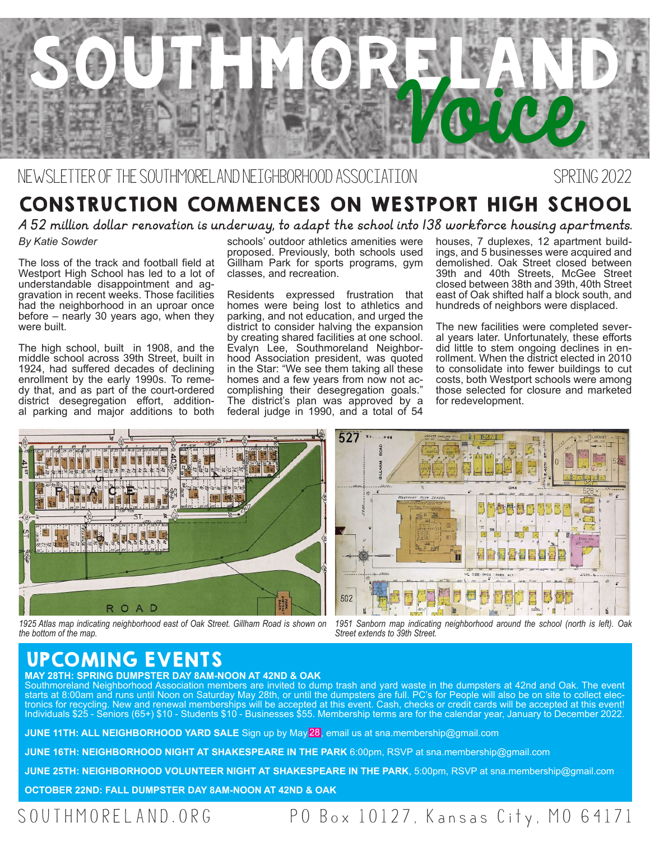

### NEWSLETTER OF THE SOUTHMORELAND NEIGHBORHOOD ASSOCIATION SPRING 2022

## CONSTRUCTION COMMENCES ON WESTPORT HIGH SCHOOL

*A 52 million dollar renovation is underway, to adapt the school into 138 workforce housing apartments.* 

### *By Katie Sowder*

The loss of the track and football field at Westport High School has led to a lot of understandable disappointment and aggravation in recent weeks. Those facilities had the neighborhood in an uproar once before – nearly 30 years ago, when they were built.

The high school, built in 1908, and the middle school across 39th Street, built in 1924, had suffered decades of declining enrollment by the early 1990s. To remedy that, and as part of the court-ordered district desegregation effort, additional parking and major additions to both schools' outdoor athletics amenities were proposed. Previously, both schools used Gillham Park for sports programs, gym classes, and recreation.

Residents expressed frustration that homes were being lost to athletics and parking, and not education, and urged the district to consider halving the expansion by creating shared facilities at one school. Evalyn Lee, Southmoreland Neighborhood Association president, was quoted in the Star: "We see them taking all these homes and a few years from now not accomplishing their desegregation goals." The district's plan was approved by a federal judge in 1990, and a total of 54 houses, 7 duplexes, 12 apartment buildings, and 5 businesses were acquired and demolished. Oak Street closed between 39th and 40th Streets, McGee Street closed between 38th and 39th, 40th Street east of Oak shifted half a block south, and hundreds of neighbors were displaced.

The new facilities were completed several years later. Unfortunately, these efforts did little to stem ongoing declines in enrollment. When the district elected in 2010 to consolidate into fewer buildings to cut costs, both Westport schools were among those selected for closure and marketed for redevelopment.



*1925 Atlas map indicating neighborhood east of Oak Street. Gillham Road is shown on the bottom of the map.* 



*1951 Sanborn map indicating neighborhood around the school (north is left). Oak Street extends to 39th Street.*

### UPCOMING EVENTS

**MAY 28TH: SPRING DUMPSTER DAY 8AM-NOON AT 42ND & OAK** 

Southmoreland Neighborhood Association members are invited to dump trash and yard waste in the dumpsters at 42nd and Oak. The event starts at 8:00am and runs until Noon on Saturday May 28th, or until the dumpsters are full. PC's for People will also be on site to collect elec-<br>tronics for recycling. New and renewal memberships will be accepted at this Individuals \$25 - Seniors (65+) \$10 - Students \$10 - Businesses \$55. Membership terms are for the calendar year, January to December 2022.

**JUNE 11TH: ALL NEIGHBORHOOD YARD SALE** Sign up by May<mark>28</mark>, email us at sna.membership@gmail.com

**JUNE 16TH: NEIGHBORHOOD NIGHT AT SHAKESPEARE IN THE PARK** 6:00pm, RSVP at sna.membership@gmail.com

**JUNE 25TH: NEIGHBORHOOD VOLUNTEER NIGHT AT SHAKESPEARE IN THE PARK**, 5:00pm, RSVP at sna.membership@gmail.com

**OCTOBER 22ND: FALL DUMPSTER DAY 8AM-NOON AT 42ND & OAK**

### SOUTHMORELAND.ORG PO Box 10127, Kansas City, MO 64171